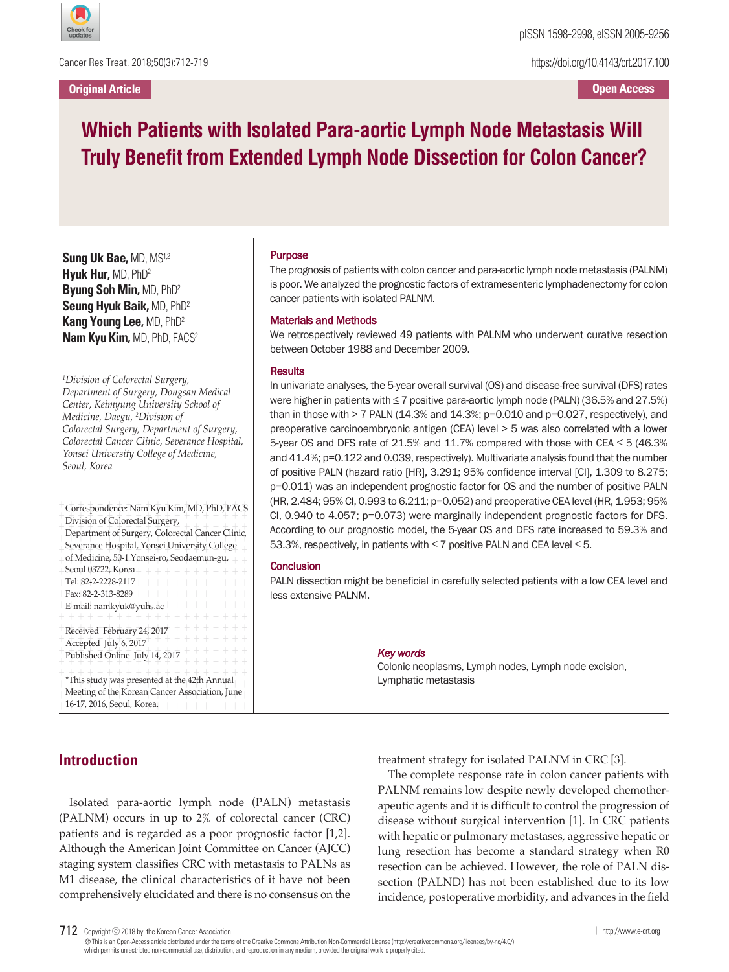

Cancer Res Treat. 2018;50(3):712-719

**Original Article**

https://doi.org/10.4143/crt.2017.100

**Open Access**

# **Which Patients with Isolated Para-aortic Lymph Node Metastasis Will Truly Benefit from Extended Lymph Node Dissection for Colon Cancer?**

**Sung Uk Bae,** MD, MS1,2 **Hyuk Hur,** MD, PhD2 **Byung Soh Min,** MD, PhD2 **Seung Hyuk Baik,** MD, PhD2 **Kang Young Lee,** MD, PhD2 **Nam Kyu Kim,** MD, PhD, FACS2

*1 Division of Colorectal Surgery, Department of Surgery, Dongsan Medical Center, Keimyung University School of Medicine, Daegu, <sup>2</sup> Division of Colorectal Surgery, Department of Surgery, Colorectal Cancer Clinic, Severance Hospital, Yonsei University College of Medicine, Seoul, Korea*

| Correspondence: Nam Kyu Kim, MD, PhD, FACS                |
|-----------------------------------------------------------|
| Division of Colorectal Surgery,                           |
| Department of Surgery, Colorectal Cancer Clinic,          |
| Severance Hospital, Yonsei University College             |
| of Medicine, 50-1 Yonsei-ro, Seodaemun-gu,                |
| Seoul 03722, Korea + + + + + + + + +                      |
| Tel: 82-2-2228-2117+<br>$+ +$<br>$\overline{\phantom{0}}$ |
| Fax: 82-2-313-8289 $+$<br>$+ +$                           |
| E-mail: namkyuk@yuhs.ac                                   |
| $+ +$                                                     |
| Received February 24, 2017                                |
| Accepted July 6, 2017                                     |
| Published Online July 14, 2017                            |
|                                                           |
| *This study was presented at the 42th Annual              |
| Meeting of the Korean Cancer Association, June            |
| 16-17, 2016, Seoul, Korea.<br>+ + + + + + +               |
|                                                           |

#### Purpose

The prognosis of patients with colon cancer and para-aortic lymph node metastasis (PALNM) is poor. We analyzed the prognostic factors of extramesenteric lymphadenectomy for colon cancer patients with isolated PALNM.

#### Materials and Methods

We retrospectively reviewed 49 patients with PALNM who underwent curative resection between October 1988 and December 2009.

#### **Results**

In univariate analyses, the 5-year overall survival (OS) and disease-free survival (DFS) rates were higher in patients with  $\leq 7$  positive para-aortic lymph node (PALN) (36.5% and 27.5%) than in those with  $> 7$  PALN (14.3% and 14.3%;  $p=0.010$  and  $p=0.027$ , respectively), and preoperative carcinoembryonic antigen (CEA) level > 5 was also correlated with a lower 5-year OS and DFS rate of 21.5% and 11.7% compared with those with CEA  $\leq$  5 (46.3% and 41.4%; p=0.122 and 0.039, respectively). Multivariate analysis found that the number of positive PALN (hazard ratio [HR], 3.291; 95% confidence interval [CI], 1.309 to 8.275; p=0.011) was an independent prognostic factor for OS and the number of positive PALN (HR, 2.484; 95% CI, 0.993 to 6.211; p=0.052) and preoperative CEA level (HR, 1.953; 95% CI, 0.940 to 4.057; p=0.073) were marginally independent prognostic factors for DFS. According to our prognostic model, the 5-year OS and DFS rate increased to 59.3% and 53.3%, respectively, in patients with  $\leq$  7 positive PALN and CEA level  $\leq$  5.

#### **Conclusion**

PALN dissection might be beneficial in carefully selected patients with a low CEA level and less extensive PALNM.

#### *Key words*

Colonic neoplasms, Lymph nodes, Lymph node excision, Lymphatic metastasis

# **Introduction**

Isolated para-aortic lymph node (PALN) metastasis (PALNM) occurs in up to 2% of colorectal cancer (CRC) patients and is regarded as a poor prognostic factor [1,2]. Although the American Joint Committee on Cancer (AJCC) staging system classifies CRC with metastasis to PALNs as M1 disease, the clinical characteristics of it have not been comprehensively elucidated and there is no consensus on the

treatment strategy for isolated PALNM in CRC [3].

The complete response rate in colon cancer patients with PALNM remains low despite newly developed chemotherapeutic agents and it is difficult to control the progression of disease without surgical intervention [1]. In CRC patients with hepatic or pulmonary metastases, aggressive hepatic or lung resection has become a standard strategy when R0 resection can be achieved. However, the role of PALN dissection (PALND) has not been established due to its low incidence, postoperative morbidity, and advances in the field

<sup>712</sup> Copyright ⓒ <sup>2018</sup> by the Korean Cancer Association │ http://www.e-crt.org │

Thisis an Open-Access article distributed under the terms of the Creative Commons Attribution Non-CommercialLicense (http://creativecommons.org/licenses/by-nc/4.0/) which permits unrestricted non-commercial use, distribution, and reproduction in any medium, provided the original work is properly cited.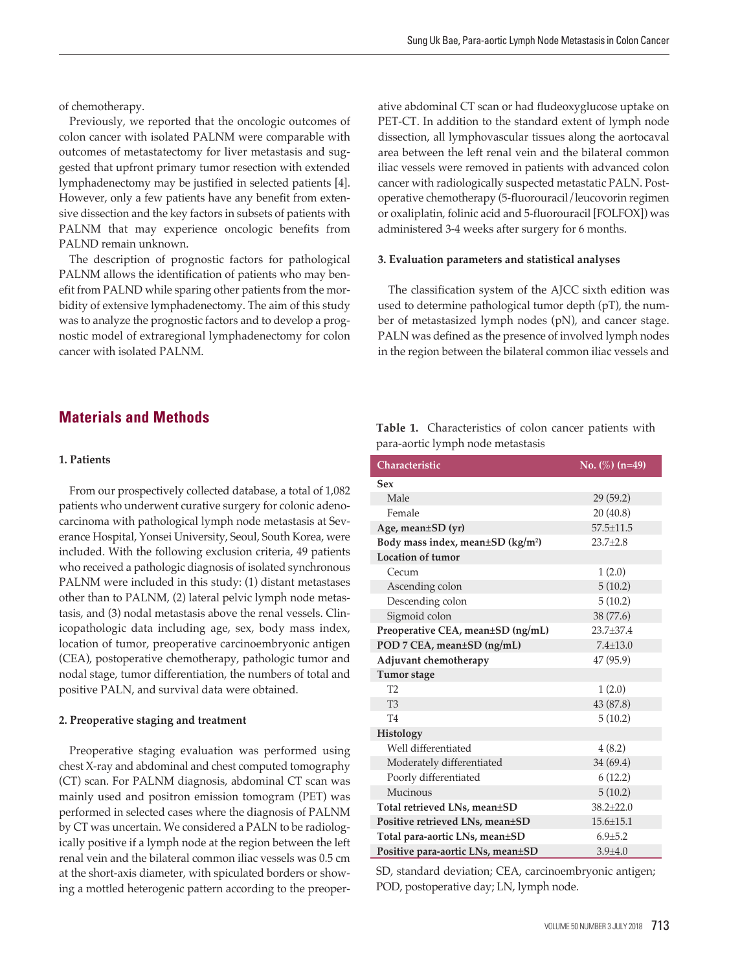of chemotherapy.

Previously, we reported that the oncologic outcomes of colon cancer with isolated PALNM were comparable with outcomes of metastatectomy for liver metastasis and suggested that upfront primary tumor resection with extended lymphadenectomy may be justified in selected patients [4]. However, only a few patients have any benefit from extensive dissection and the key factors in subsets of patients with PALNM that may experience oncologic benefits from PALND remain unknown.

The description of prognostic factors for pathological PALNM allows the identification of patients who may benefit from PALND while sparing other patients from the morbidity of extensive lymphadenectomy. The aim of this study was to analyze the prognostic factors and to develop a prognostic model of extraregional lymphadenectomy for colon cancer with isolated PALNM.

### **Materials and Methods**

#### **1. Patients**

From our prospectively collected database, a total of 1,082 patients who underwent curative surgery for colonic adenocarcinoma with pathological lymph node metastasis at Severance Hospital, Yonsei University, Seoul, South Korea, were included. With the following exclusion criteria, 49 patients who received a pathologic diagnosis of isolated synchronous PALNM were included in this study: (1) distant metastases other than to PALNM, (2) lateral pelvic lymph node metastasis, and (3) nodal metastasis above the renal vessels. Clinicopathologic data including age, sex, body mass index, location of tumor, preoperative carcinoembryonic antigen (CEA), postoperative chemotherapy, pathologic tumor and nodal stage, tumor differentiation, the numbers of total and positive PALN, and survival data were obtained.

#### **2. Preoperative staging and treatment**

Preoperative staging evaluation was performed using chest X-ray and abdominal and chest computed tomography (CT) scan. For PALNM diagnosis, abdominal CT scan was mainly used and positron emission tomogram (PET) was performed in selected cases where the diagnosis of PALNM by CT was uncertain. We considered a PALN to be radiologically positive if a lymph node at the region between the left renal vein and the bilateral common iliac vessels was 0.5 cm at the short-axis diameter, with spiculated borders or showing a mottled heterogenic pattern according to the preoper-

ative abdominal CT scan or had fludeoxyglucose uptake on PET-CT. In addition to the standard extent of lymph node dissection, all lymphovascular tissues along the aortocaval area between the left renal vein and the bilateral common iliac vessels were removed in patients with advanced colon cancer with radiologically suspected metastatic PALN. Postoperative chemotherapy (5-fluorouracil/leucovorin regimen or oxaliplatin, folinic acid and 5-fluorouracil [FOLFOX]) was administered 3-4 weeks after surgery for 6 months.

#### **3. Evaluation parameters and statistical analyses**

The classification system of the AJCC sixth edition was used to determine pathological tumor depth (pT), the number of metastasized lymph nodes (pN), and cancer stage. PALN was defined as the presence of involved lymph nodes in the region between the bilateral common iliac vessels and

|  | <b>Table 1.</b> Characteristics of colon cancer patients with |  |  |  |
|--|---------------------------------------------------------------|--|--|--|
|  | para-aortic lymph node metastasis                             |  |  |  |

| Characteristic                                      | No. $(\%)$ (n=49) |
|-----------------------------------------------------|-------------------|
| Sex                                                 |                   |
| Male                                                | 29(59.2)          |
| Female                                              | 20(40.8)          |
| Age, mean±SD (yr)                                   | $57.5 \pm 11.5$   |
| Body mass index, mean $\pm$ SD (kg/m <sup>2</sup> ) | $23.7 + 2.8$      |
| <b>Location of tumor</b>                            |                   |
| Cecum                                               | 1(2.0)            |
| Ascending colon                                     | 5(10.2)           |
| Descending colon                                    | 5(10.2)           |
| Sigmoid colon                                       | 38 (77.6)         |
| Preoperative CEA, mean±SD (ng/mL)                   | 23.7±37.4         |
| POD 7 CEA, mean±SD (ng/mL)                          | $7.4 \pm 13.0$    |
| Adjuvant chemotherapy                               | 47 (95.9)         |
| Tumor stage                                         |                   |
| T <sub>2</sub>                                      | 1(2.0)            |
| T <sub>3</sub>                                      | 43 (87.8)         |
| T <sub>4</sub>                                      | 5(10.2)           |
| Histology                                           |                   |
| Well differentiated                                 | 4(8.2)            |
| Moderately differentiated                           | 34 (69.4)         |
| Poorly differentiated                               | 6(12.2)           |
| Mucinous                                            | 5(10.2)           |
| Total retrieved LNs, mean±SD                        | $38.2 \pm 22.0$   |
| Positive retrieved LNs, mean±SD                     | $15.6 \pm 15.1$   |
| Total para-aortic LNs, mean±SD                      | $6.9 + 5.2$       |
| Positive para-aortic LNs, mean±SD                   | $3.9 + 4.0$       |

SD, standard deviation; CEA, carcinoembryonic antigen; POD, postoperative day; LN, lymph node.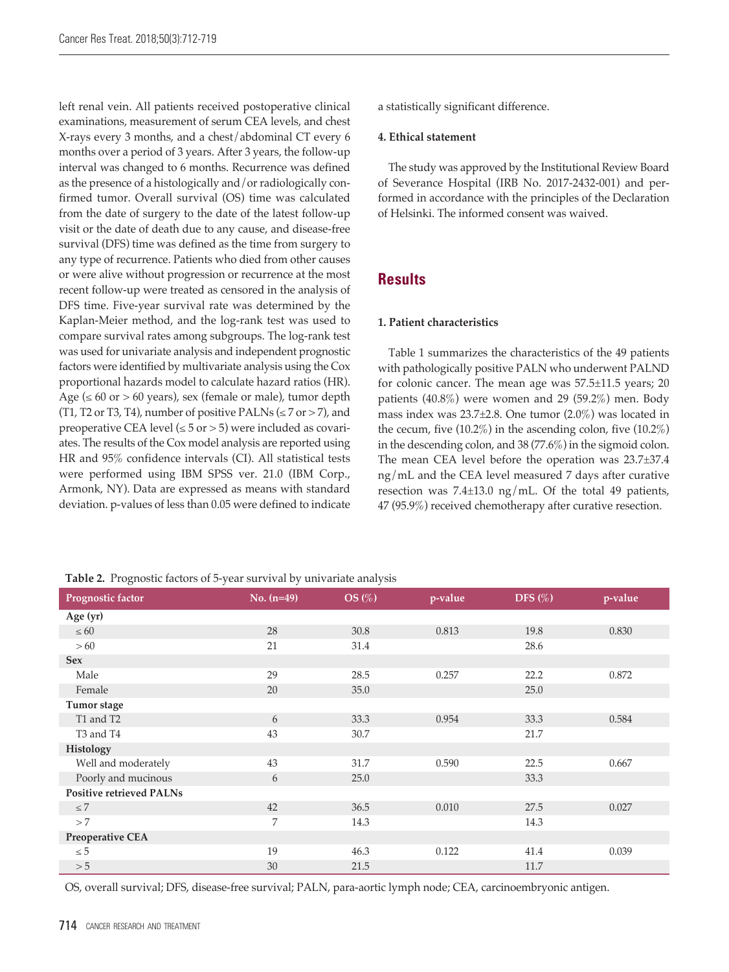left renal vein. All patients received postoperative clinical examinations, measurement of serum CEA levels, and chest X-rays every 3 months, and a chest/abdominal CT every 6 months over a period of 3 years. After 3 years, the follow-up interval was changed to 6 months. Recurrence was defined as the presence of a histologically and/or radiologically confirmed tumor. Overall survival (OS) time was calculated from the date of surgery to the date of the latest follow-up visit or the date of death due to any cause, and disease-free survival (DFS) time was defined as the time from surgery to any type of recurrence. Patients who died from other causes or were alive without progression or recurrence at the most recent follow-up were treated as censored in the analysis of DFS time. Five-year survival rate was determined by the Kaplan-Meier method, and the log-rank test was used to compare survival rates among subgroups. The log-rank test was used for univariate analysis and independent prognostic factors were identified by multivariate analysis using the Cox proportional hazards model to calculate hazard ratios (HR). Age ( $\leq 60$  or  $> 60$  years), sex (female or male), tumor depth (T1, T2 or T3, T4), number of positive PALNs ( $\le$  7 or > 7), and preoperative CEA level ( $\le$  5 or > 5) were included as covariates. The results of the Cox model analysis are reported using HR and 95% confidence intervals (CI). All statistical tests were performed using IBM SPSS ver. 21.0 (IBM Corp., Armonk, NY). Data are expressed as means with standard deviation. p-values of less than 0.05 were defined to indicate

a statistically significant difference.

#### **4. Ethical statement**

The study was approved by the Institutional Review Board of Severance Hospital (IRB No. 2017-2432-001) and performed in accordance with the principles of the Declaration of Helsinki. The informed consent was waived.

# **Results**

#### **1. Patient characteristics**

Table 1 summarizes the characteristics of the 49 patients with pathologically positive PALN who underwent PALND for colonic cancer. The mean age was 57.5±11.5 years; 20 patients (40.8%) were women and 29 (59.2%) men. Body mass index was  $23.7\pm2.8$ . One tumor  $(2.0\%)$  was located in the cecum, five  $(10.2\%)$  in the ascending colon, five  $(10.2\%)$ in the descending colon, and 38 (77.6%) in the sigmoid colon. The mean CEA level before the operation was 23.7±37.4 ng/mL and the CEA level measured 7 days after curative resection was 7.4±13.0 ng/mL. Of the total 49 patients, 47 (95.9%) received chemotherapy after curative resection.

|  |  |  | Table 2. Prognostic factors of 5-year survival by univariate analysis |  |  |
|--|--|--|-----------------------------------------------------------------------|--|--|
|--|--|--|-----------------------------------------------------------------------|--|--|

| Prognostic factor                 | No. $(n=49)$ | $OS\left(\%\right)$ | p-value | DFS $(\%)$ | p-value |
|-----------------------------------|--------------|---------------------|---------|------------|---------|
| Age (yr)                          |              |                     |         |            |         |
| $\leq 60$                         | 28           | 30.8                | 0.813   | 19.8       | 0.830   |
| >60                               | 21           | 31.4                |         | 28.6       |         |
| <b>Sex</b>                        |              |                     |         |            |         |
| Male                              | 29           | 28.5                | 0.257   | 22.2       | 0.872   |
| Female                            | 20           | 35.0                |         | 25.0       |         |
| Tumor stage                       |              |                     |         |            |         |
| T1 and T2                         | 6            | 33.3                | 0.954   | 33.3       | 0.584   |
| T <sub>3</sub> and T <sub>4</sub> | 43           | 30.7                |         | 21.7       |         |
| Histology                         |              |                     |         |            |         |
| Well and moderately               | 43           | 31.7                | 0.590   | 22.5       | 0.667   |
| Poorly and mucinous               | 6            | 25.0                |         | 33.3       |         |
| <b>Positive retrieved PALNs</b>   |              |                     |         |            |         |
| $\leq 7$                          | 42           | 36.5                | 0.010   | 27.5       | 0.027   |
| >7                                | 7            | 14.3                |         | 14.3       |         |
| Preoperative CEA                  |              |                     |         |            |         |
| $\leq 5$                          | 19           | 46.3                | 0.122   | 41.4       | 0.039   |
| > 5                               | 30           | 21.5                |         | 11.7       |         |

OS, overall survival; DFS, disease-free survival; PALN, para-aortic lymph node; CEA, carcinoembryonic antigen.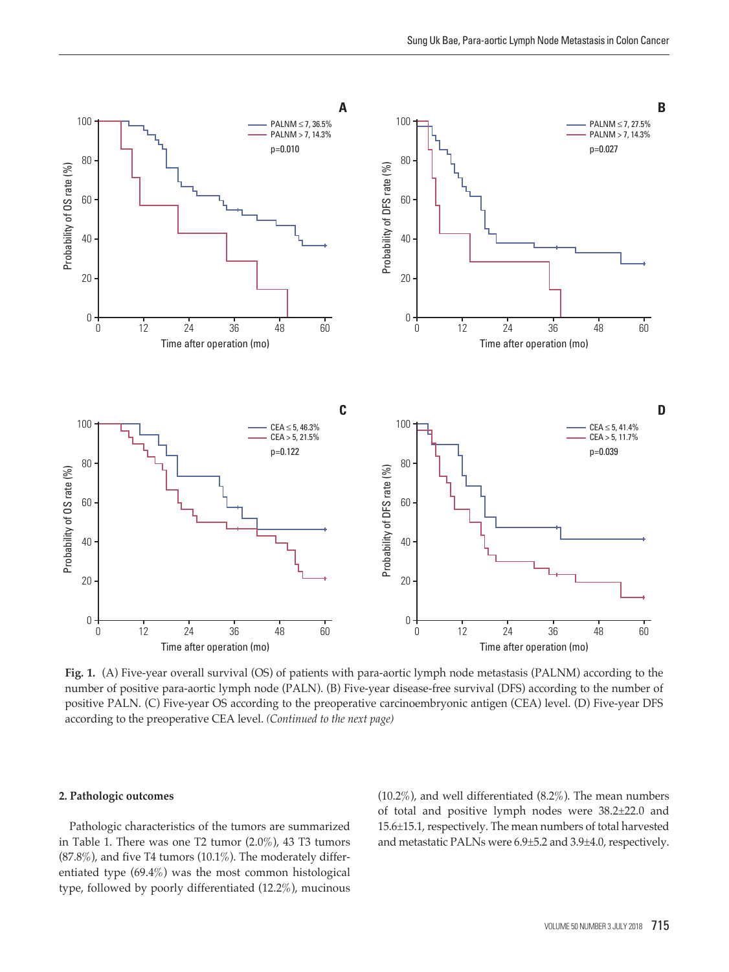

**Fig. 1.** (A) Five-year overall survival (OS) of patients with para-aortic lymph node metastasis (PALNM) according to the number of positive para-aortic lymph node (PALN). (B) Five-year disease-free survival (DFS) according to the number of positive PALN. (C) Five-year OS according to the preoperative carcinoembryonic antigen (CEA) level. (D) Five-year DFS according to the preoperative CEA level. *(Continued to the next page)*

#### **2. Pathologic outcomes**

Pathologic characteristics of the tumors are summarized in Table 1. There was one T2 tumor (2.0%), 43 T3 tumors  $(87.8\%)$ , and five T4 tumors  $(10.1\%)$ . The moderately differentiated type (69.4%) was the most common histological type, followed by poorly differentiated (12.2%), mucinous

(10.2%), and well differentiated (8.2%). The mean numbers of total and positive lymph nodes were 38.2±22.0 and 15.6±15.1, respectively. The mean numbers of total harvested and metastatic PALNs were 6.9±5.2 and 3.9±4.0, respectively.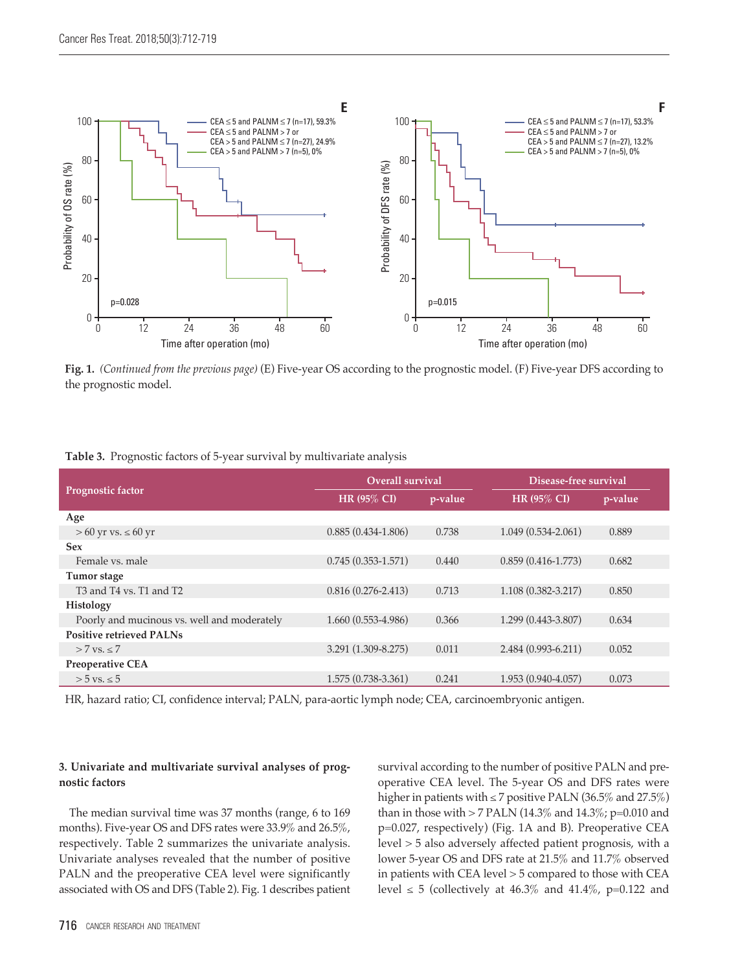

**Fig. 1.** *(Continued from the previous page)* (E) Five-year OS according to the prognostic model. (F) Five-year DFS according to the prognostic model.

|  | Table 3. Prognostic factors of 5-year survival by multivariate analysis |  |  |  |  |  |  |  |  |
|--|-------------------------------------------------------------------------|--|--|--|--|--|--|--|--|
|--|-------------------------------------------------------------------------|--|--|--|--|--|--|--|--|

|                                                                         | Overall survival       |         | Disease-free survival  |         |  |
|-------------------------------------------------------------------------|------------------------|---------|------------------------|---------|--|
| Prognostic factor                                                       | $HR(95\% CI)$          | p-value | <b>HR (95% CI)</b>     | p-value |  |
| Age                                                                     |                        |         |                        |         |  |
| $> 60$ yr vs. $\leq 60$ yr                                              | $0.885(0.434-1.806)$   | 0.738   | $1.049(0.534 - 2.061)$ | 0.889   |  |
| <b>Sex</b>                                                              |                        |         |                        |         |  |
| Female vs. male                                                         | $0.745(0.353 - 1.571)$ | 0.440   | $0.859(0.416-1.773)$   | 0.682   |  |
| Tumor stage                                                             |                        |         |                        |         |  |
| T <sub>3</sub> and T <sub>4</sub> vs. T <sub>1</sub> and T <sub>2</sub> | $0.816(0.276 - 2.413)$ | 0.713   | $1.108(0.382 - 3.217)$ | 0.850   |  |
| Histology                                                               |                        |         |                        |         |  |
| Poorly and mucinous vs. well and moderately                             | $1.660(0.553-4.986)$   | 0.366   | $1.299(0.443-3.807)$   | 0.634   |  |
| <b>Positive retrieved PALNs</b>                                         |                        |         |                        |         |  |
| $> 7$ vs. $< 7$                                                         | 3.291 (1.309-8.275)    | 0.011   | $2.484(0.993-6.211)$   | 0.052   |  |
| <b>Preoperative CEA</b>                                                 |                        |         |                        |         |  |
| $> 5$ vs. $\leq 5$                                                      | $1.575(0.738-3.361)$   | 0.241   | $1.953(0.940-4.057)$   | 0.073   |  |

HR, hazard ratio; CI, confidence interval; PALN, para-aortic lymph node; CEA, carcinoembryonic antigen.

### **3. Univariate and multivariate survival analyses of prognostic factors**

The median survival time was 37 months (range, 6 to 169 months). Five-year OS and DFS rates were 33.9% and 26.5%, respectively. Table 2 summarizes the univariate analysis. Univariate analyses revealed that the number of positive PALN and the preoperative CEA level were significantly associated with OS and DFS (Table 2). Fig. 1 describes patient survival according to the number of positive PALN and preoperative CEA level. The 5-year OS and DFS rates were higher in patients with  $\leq$  7 positive PALN (36.5% and 27.5%) than in those with > 7 PALN (14.3% and 14.3%; p=0.010 and p=0.027, respectively) (Fig. 1A and B). Preoperative CEA level > 5 also adversely affected patient prognosis, with a lower 5-year OS and DFS rate at 21.5% and 11.7% observed in patients with CEA level > 5 compared to those with CEA level  $\leq$  5 (collectively at 46.3% and 41.4%, p=0.122 and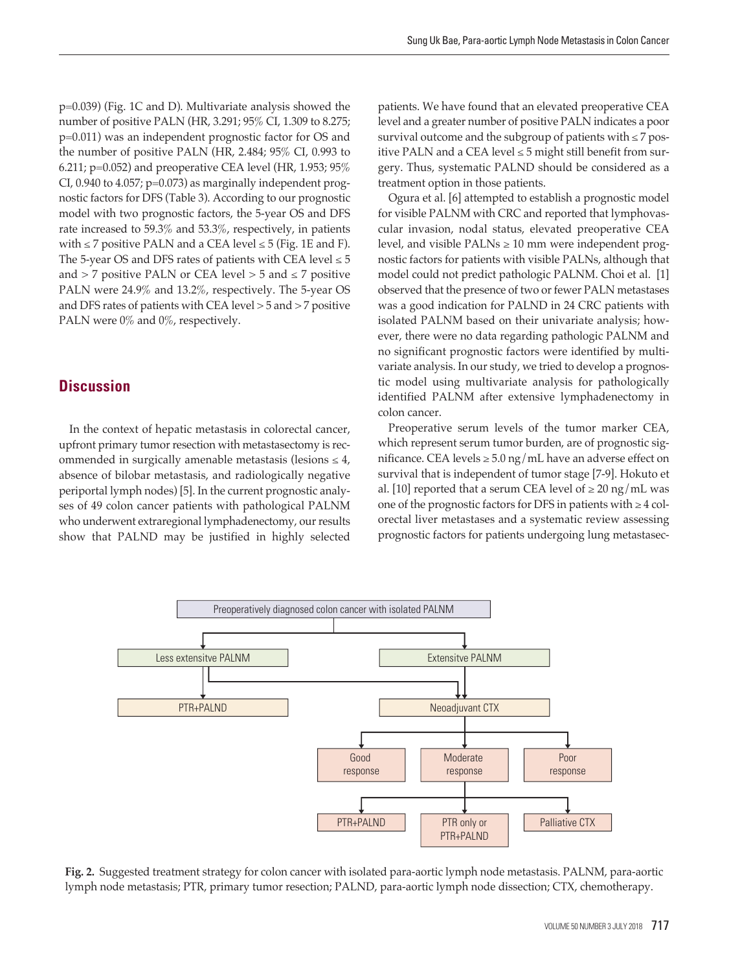p=0.039) (Fig. 1C and D). Multivariate analysis showed the number of positive PALN (HR, 3.291; 95% CI, 1.309 to 8.275; p=0.011) was an independent prognostic factor for OS and the number of positive PALN (HR, 2.484; 95% CI, 0.993 to 6.211; p=0.052) and preoperative CEA level (HR, 1.953; 95% CI,  $0.940$  to  $4.057$ ;  $p=0.073$ ) as marginally independent prognostic factors for DFS (Table 3). According to our prognostic model with two prognostic factors, the 5-year OS and DFS rate increased to 59.3% and 53.3%, respectively, in patients with  $\leq$  7 positive PALN and a CEA level  $\leq$  5 (Fig. 1E and F). The 5-year OS and DFS rates of patients with CEA level  $\leq 5$ and  $>$  7 positive PALN or CEA level  $>$  5 and  $\le$  7 positive PALN were 24.9% and 13.2%, respectively. The 5-year OS and DFS rates of patients with CEA level > 5 and > 7 positive PALN were 0% and 0%, respectively.

# **Discussion**

In the context of hepatic metastasis in colorectal cancer, upfront primary tumor resection with metastasectomy is recommended in surgically amenable metastasis (lesions  $\leq 4$ , absence of bilobar metastasis, and radiologically negative periportal lymph nodes) [5]. In the current prognostic analyses of 49 colon cancer patients with pathological PALNM who underwent extraregional lymphadenectomy, our results show that PALND may be justified in highly selected patients. We have found that an elevated preoperative CEA level and a greater number of positive PALN indicates a poor survival outcome and the subgroup of patients with  $\leq 7$  positive PALN and a CEA level  $\leq$  5 might still benefit from surgery. Thus, systematic PALND should be considered as a treatment option in those patients.

Ogura et al. [6] attempted to establish a prognostic model for visible PALNM with CRC and reported that lymphovascular invasion, nodal status, elevated preoperative CEA level, and visible PALNs  $\geq 10$  mm were independent prognostic factors for patients with visible PALNs, although that model could not predict pathologic PALNM. Choi et al. [1] observed that the presence of two or fewer PALN metastases was a good indication for PALND in 24 CRC patients with isolated PALNM based on their univariate analysis; however, there were no data regarding pathologic PALNM and no significant prognostic factors were identified by multivariate analysis. In our study, we tried to develop a prognostic model using multivariate analysis for pathologically identified PALNM after extensive lymphadenectomy in colon cancer.

Preoperative serum levels of the tumor marker CEA, which represent serum tumor burden, are of prognostic significance. CEA levels  $\geq$  5.0 ng/mL have an adverse effect on survival that is independent of tumor stage [7-9]. Hokuto et al. [10] reported that a serum CEA level of  $\geq 20$  ng/mL was one of the prognostic factors for DFS in patients with  $\geq 4$  colorectal liver metastases and a systematic review assessing prognostic factors for patients undergoing lung metastasec-



**Fig. 2.** Suggested treatment strategy for colon cancer with isolated para-aortic lymph node metastasis. PALNM, para-aortic lymph node metastasis; PTR, primary tumor resection; PALND, para-aortic lymph node dissection; CTX, chemotherapy.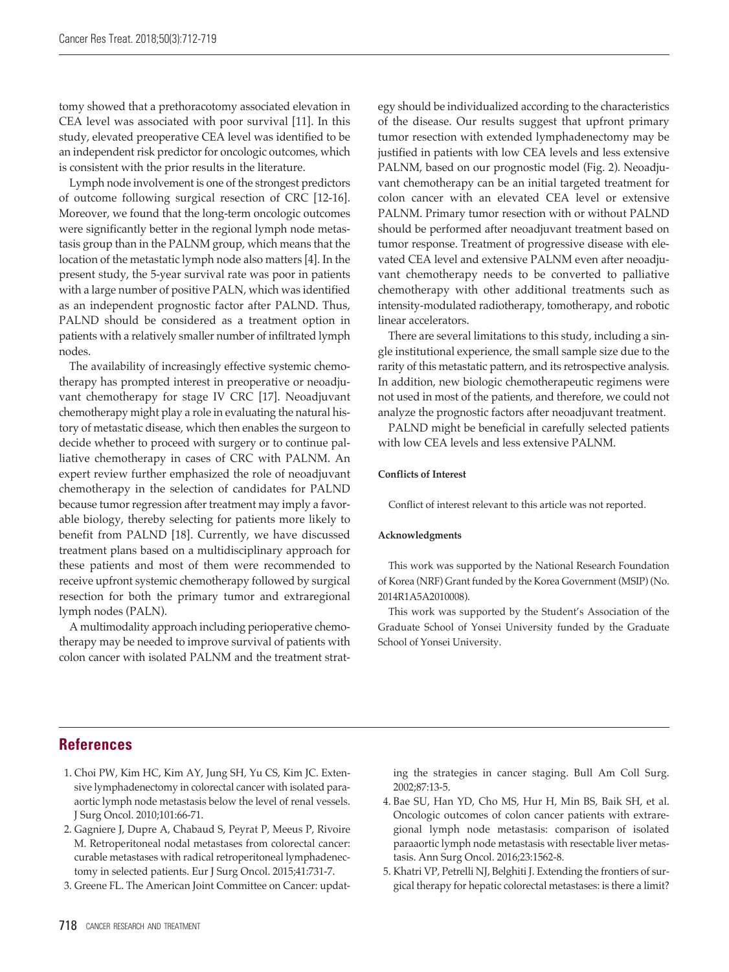tomy showed that a prethoracotomy associated elevation in CEA level was associated with poor survival [11]. In this study, elevated preoperative CEA level was identified to be an independent risk predictor for oncologic outcomes, which is consistent with the prior results in the literature.

Lymph node involvement is one of the strongest predictors of outcome following surgical resection of CRC [12-16]. Moreover, we found that the long-term oncologic outcomes were significantly better in the regional lymph node metastasis group than in the PALNM group, which means that the location of the metastatic lymph node also matters [4]. In the present study, the 5-year survival rate was poor in patients with a large number of positive PALN, which was identified as an independent prognostic factor after PALND. Thus, PALND should be considered as a treatment option in patients with a relatively smaller number of infiltrated lymph nodes.

The availability of increasingly effective systemic chemotherapy has prompted interest in preoperative or neoadjuvant chemotherapy for stage IV CRC [17]. Neoadjuvant chemotherapy might play a role in evaluating the natural history of metastatic disease, which then enables the surgeon to decide whether to proceed with surgery or to continue palliative chemotherapy in cases of CRC with PALNM. An expert review further emphasized the role of neoadjuvant chemotherapy in the selection of candidates for PALND because tumor regression after treatment may imply a favorable biology, thereby selecting for patients more likely to benefit from PALND [18]. Currently, we have discussed treatment plans based on a multidisciplinary approach for these patients and most of them were recommended to receive upfront systemic chemotherapy followed by surgical resection for both the primary tumor and extraregional lymph nodes (PALN).

A multimodality approach including perioperative chemotherapy may be needed to improve survival of patients with colon cancer with isolated PALNM and the treatment strat-

egy should be individualized according to the characteristics of the disease. Our results suggest that upfront primary tumor resection with extended lymphadenectomy may be justified in patients with low CEA levels and less extensive PALNM, based on our prognostic model (Fig. 2). Neoadjuvant chemotherapy can be an initial targeted treatment for colon cancer with an elevated CEA level or extensive PALNM. Primary tumor resection with or without PALND should be performed after neoadjuvant treatment based on tumor response. Treatment of progressive disease with elevated CEA level and extensive PALNM even after neoadjuvant chemotherapy needs to be converted to palliative chemotherapy with other additional treatments such as intensity-modulated radiotherapy, tomotherapy, and robotic linear accelerators.

There are several limitations to this study, including a single institutional experience, the small sample size due to the rarity of this metastatic pattern, and its retrospective analysis. In addition, new biologic chemotherapeutic regimens were not used in most of the patients, and therefore, we could not analyze the prognostic factors after neoadjuvant treatment.

PALND might be beneficial in carefully selected patients with low CEA levels and less extensive PALNM.

#### **Conflicts of Interest**

Conflict of interest relevant to this article was not reported.

#### **Acknowledgments**

This work was supported by the National Research Foundation of Korea (NRF) Grant funded by the Korea Government (MSIP) (No. 2014R1A5A2010008).

This work was supported by the Student's Association of the Graduate School of Yonsei University funded by the Graduate School of Yonsei University.

# **References**

- 1. Choi PW, Kim HC, Kim AY, Jung SH, Yu CS, Kim JC. Extensive lymphadenectomy in colorectal cancer with isolated paraaortic lymph node metastasis below the level of renal vessels. J Surg Oncol. 2010;101:66-71.
- 2. Gagniere J, Dupre A, Chabaud S, Peyrat P, Meeus P, Rivoire M. Retroperitoneal nodal metastases from colorectal cancer: curable metastases with radical retroperitoneal lymphadenectomy in selected patients. Eur J Surg Oncol. 2015;41:731-7.
- 3. Greene FL. The American Joint Committee on Cancer: updat-

ing the strategies in cancer staging. Bull Am Coll Surg. 2002;87:13-5.

- 4. Bae SU, Han YD, Cho MS, Hur H, Min BS, Baik SH, et al. Oncologic outcomes of colon cancer patients with extraregional lymph node metastasis: comparison of isolated paraaortic lymph node metastasis with resectable liver metastasis. Ann Surg Oncol. 2016;23:1562-8.
- 5. Khatri VP, Petrelli NJ, Belghiti J. Extending the frontiers of surgical therapy for hepatic colorectal metastases: is there a limit?